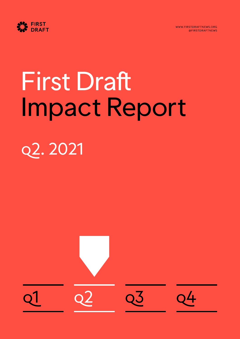



# First Draft Impact Report q2. 2021

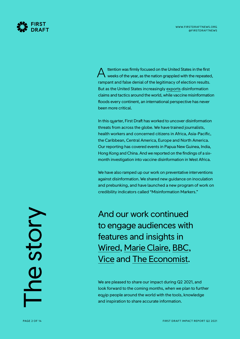

ttention was firmly focused on the United States in the first weeks of the year, as the nation grappled with the repeated, rampant and false denial of the legitimacy of election results. But as the United States increasingly [exports](https://www.reuters.com/world/americas/brazils-bolsonaro-says-he-wont-hand-over-presidency-if-there-is-vote-fraud-2021-07-01/?taid=60de6069bcdfda00014321eb&utm_campaign=trueAnthem:+Trending+Content&utm_medium=trueAnthem&utm_source=twitter) disinformation claims and tactics around the world, while vaccine misinformation floods every continent, an international perspective has never been more critical. A

In this quarter, First Draft has worked to uncover disinformation threats from across the globe. We have trained journalists, health workers and concerned citizens in Africa, Asia-Pacific, the Caribbean, Central America, Europe and North America. Our reporting has covered events in Papua New Guinea, India, Hong Kong and China. And we reported on the findings of a sixmonth investigation into vaccine disinformation in West Africa.

We have also ramped up our work on preventative interventions against disinformation. We shared new guidance on inoculation and prebunking, and have launched a new program of work on credibility indicators called "Misinformation Markers."

And our work continued to engage audiences with features and insights in [Wired,](https://www.wired.it/attualita/media/2021/06/24/wired-edicola-il-grande-inganno/) [Marie Claire,](https://www.marieclaire.co.uk/opinion/vaccine-misinformation-742160) [BBC](https://www.bbc.com/news/world-us-canada-57587364), [Vice](https://www.vice.com/en/article/93yabp/covid-anti-vaxxers-mocking-trans-people-with-transvaxxite-videos) and [The Economist](https://www.economist.com/united-states/2021/06/12/hispanic-americans-are-curious-about-qanon-too).

We are pleased to share our impact during Q2 2021, and look forward to the coming months, when we plan to further equip people around the world with the tools, knowledge and inspiration to share accurate information.

The story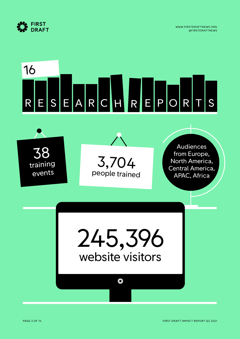

### E S E A R C H R E P O R T S 16 R

Audiences from Europe, North America, Central America, APAC, Africa 3,704 people trained 38 training events

> 245,396 website visitors

#### $\frac{1}{2}$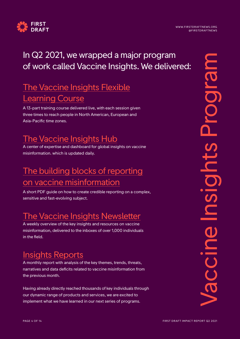

#### In Q2 2021, we wrapped a major program of work called Vaccine Insights. We delivered:

#### [The Vaccine Insights Flexible](https://firstdraftnews.org/vaccine-insights-flexible-learning-course/) [Learning Course](https://firstdraftnews.org/vaccine-insights-flexible-learning-course/)

A 13-part training course delivered live, with each session given three times to reach people in North American, European and Asia-Pacific time zones.

#### [The Vaccine Insights Hub](http://firstdraftnews.org/vaccineinsights)

A center of expertise and dashboard for global insights on vaccine misinformation. which is updated daily.

#### [The building blocks of reporting](https://firstdraftnews.org/wp-content/uploads/2021/02/FD0102_Snapshot-3.pdf?x35395) [on vaccine misinformation](https://firstdraftnews.org/wp-content/uploads/2021/02/FD0102_Snapshot-3.pdf?x35395)

A short PDF guide on how to create credible reporting on a complex, sensitive and fast-evolving subject.

#### [The Vaccine Insights Newsletter](https://firstdraftnews.us11.list-manage.com/subscribe?u=a2d3d9ccda374407d450e3c1c&id=689c1a25e0)

A weekly overview of the key insights and resources on vaccine misinformation, delivered to the inboxes of over 1,000 individuals in the field.

#### [Insights Reports](https://firstdraftnews.org/tackling/insights-reports/)

A monthly report with analysis of the key themes, trends, threats, narratives and data deficits related to vaccine misinformation from the previous month.

Having already directly reached thousands of key individuals through our dynamic range of products and services, we are excited to implement what we have learned in our next series of programs.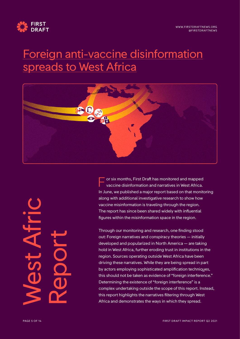

#### [Foreign anti-vaccine disinformation](https://firstdraftnews.org/long-form-article/foreign-anti-vaccine-disinformation-reaches-west-africa/) [spreads to West Africa](https://firstdraftnews.org/long-form-article/foreign-anti-vaccine-disinformation-reaches-west-africa/)



or six months, First Draft has monitored and mapped vaccine disinformation and narratives in West Africa. In June, we published a major report based on that monitoring along with additional investigative research to show how vaccine misinformation is traveling through the region. The report has since been shared widely with influential figures within the misinformation space in the region. F

Through our monitoring and research, one finding stood out: Foreign narratives and conspiracy theories — initially developed and popularized in North America — are taking hold in West Africa, further eroding trust in institutions in the region. Sources operating outside West Africa have been driving these narratives. While they are being spread in part by actors employing sophisticated amplification techniques, this should not be taken as evidence of "foreign interference." Determining the existence of "foreign interference" is a complex undertaking outside the scope of this report. Instead, this report highlights the narratives filtering through West Africa and demonstrates the ways in which they spread.

West Afric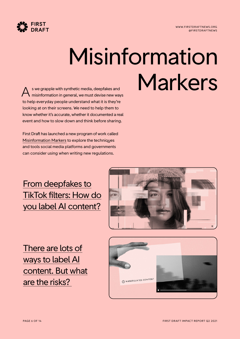

### Misinformation  $s$  we grapple with synthetic media, deepfakes and  $\blacksquare$  Marker  $\sf Kers$

misinformation in general, we must devise new ways to help everyday people understand what it is they're looking at on their screens. We need to help them to know whether it's accurate, whether it documented a real event and how to slow down and think before sharing. A

First Draft has launched a new program of work called [Misinformation Markers](https://firstdraftnews.org/long-form-article/misinformation-markers-how-to-signpost-and-label-problematic-online-content/) to explore the techniques and tools social media platforms and governments can consider using when writing new regulations.

#### [From deepfakes to](https://firstdraftnews.org/long-form-article/from-deepfakes-to-tiktok-filters-how-do-you-label-ai-content/) [TikTok filters: How do](https://firstdraftnews.org/long-form-article/from-deepfakes-to-tiktok-filters-how-do-you-label-ai-content/)  [you label AI content?](https://firstdraftnews.org/long-form-article/from-deepfakes-to-tiktok-filters-how-do-you-label-ai-content/)



[There are lots of](https://firstdraftnews.org/long-form-article/there-are-lots-of-ways-to-label-ai-content-but-what-are-the-risks/) [ways to label AI](https://firstdraftnews.org/long-form-article/there-are-lots-of-ways-to-label-ai-content-but-what-are-the-risks/) [content. But what](https://firstdraftnews.org/long-form-article/there-are-lots-of-ways-to-label-ai-content-but-what-are-the-risks/) [are the risks?](https://firstdraftnews.org/long-form-article/there-are-lots-of-ways-to-label-ai-content-but-what-are-the-risks/) 

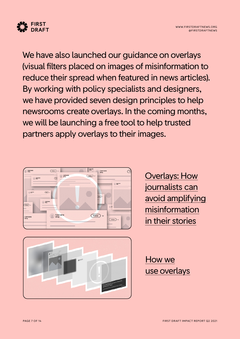

We have also launched our guidance on overlays (visual filters placed on images of misinformation to reduce their spread when featured in news articles). By working with policy specialists and designers, we have provided seven design principles to help newsrooms create overlays. In the coming months, we will be launching a free tool to help trusted partners apply overlays to their images.



[Overlays: How](https://firstdraftnews.org/articles/overlays-how-journalists-can-avoid-amplifying-misinformation-in-their-stories/) [journalists can](https://firstdraftnews.org/articles/overlays-how-journalists-can-avoid-amplifying-misinformation-in-their-stories/) [avoid amplifying](https://firstdraftnews.org/articles/overlays-how-journalists-can-avoid-amplifying-misinformation-in-their-stories/) [misinformation](https://firstdraftnews.org/articles/overlays-how-journalists-can-avoid-amplifying-misinformation-in-their-stories/) [in their stories](https://firstdraftnews.org/articles/overlays-how-journalists-can-avoid-amplifying-misinformation-in-their-stories/)



[How we](https://firstdraftnews.org/articles/how-we-use-overlays/) [use overlays](https://firstdraftnews.org/articles/how-we-use-overlays/)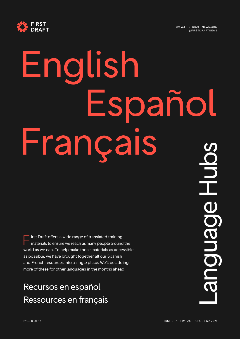

# English Español Français

irst Draft offers a wide range of translated training materials to ensure we reach as many people around the world as we can. To help make those materials as accessible as possible, we have brought together all our Spanish and French resources into a single place. We'll be adding more of these for other languages in the months ahead. F

#### [Recursos en español](https://firstdraftnews.org/recursos-en-espanol/) [Ressources en français](https://firstdraftnews.org/ressources-en-francais/)

Language Hubs anguage Huba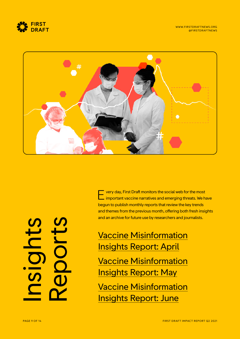



very day, First Draft monitors the social web for the most Lettery day, First Draft monitors the social web for the most<br>
important vaccine narratives and emerging threats. We have begun to publish monthly reports that review the key trends and themes from the previous month, offering both fresh insights and an archive for future use by researchers and journalists.

[Vaccine Misinformation](https://firstdraftnews.org/long-form-article/vaccine-insights-report-one/) [Insights Report: April](https://firstdraftnews.org/long-form-article/vaccine-insights-report-one/) [Vaccine Misinformation](https://firstdraftnews.org/long-form-article/vaccine-misinformation-insights-report-may/) [Insights Report: May](https://firstdraftnews.org/long-form-article/vaccine-misinformation-insights-report-may/) [Vaccine Misinformation](https://firstdraftnews.org/long-form-article/vaccine-misinformation-insights-report-june/)

[Insights Report: June](https://firstdraftnews.org/long-form-article/vaccine-misinformation-insights-report-june/)

Insights **POLL:**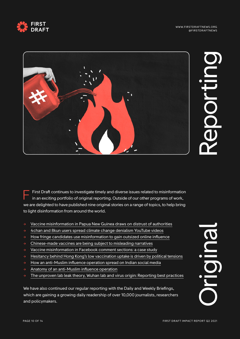





First Draft continues to investigate timely and diverse issues related to misinformation in an exciting portfolio of original reporting. Outside of our other programs of work, we are delighted to have published nine original stories on a range of topics, to help bring to light disinformation from around the world. F

- $\rightarrow$  [Vaccine misinformation in Papua New Guinea draws on distrust of authorities](https://firstdraftnews.org/articles/vaccine-misinformation-in-papua-new-guinea-draws-on-distrust-of-authorities/)
- $\rightarrow$  [4chan and 8kun users spread climate change denialism YouTube videos](https://firstdraftnews.org/articles/youtube-climate-change-denial/)
- $\rightarrow$  [How fringe candidates use misinformation to gain outsized online influence](https://firstdraftnews.org/articles/how-fringe-candidates-use-misinformation-to-gain-outsized-online-influence/)
- $\rightarrow$  [Chinese-made vaccines are being subject to misleading narratives](https://firstdraftnews.org/articles/sinovac-sinopharm-and-misinformation-online/)
- $\rightarrow$  [Vaccine misinformation in Facebook comment sections: a case study](https://firstdraftnews.org/articles/vaccine-misinformation-in-facebook-comment-sections-a-case-study/)
- $\rightarrow$  [Hesitancy behind Hong Kong's low vaccination uptake is driven by political tensions](https://firstdraftnews.org/articles/hesitancy-behind-hong-kongs-low-vaccination-uptake-is-driven-by-political-tensions/)
- $\rightarrow$  [How an anti-Muslim influence operation spread on Indian social media](https://firstdraftnews.org/articles/israel-palestine-tweets-and-indian-anti-muslim-network/)
- $\rightarrow$  [Anatomy of an anti-Muslim influence operation](https://firstdraftnews.org/articles/anti-muslim-disinformation-israel-palestine/)
- $\rightarrow$  [The unproven lab leak theory, Wuhan lab and virus origin: Reporting best practices](https://firstdraftnews.org/articles/best-practices-for-reporting-on-the-wuhan-lab-leak-theory/)

We have also continued our regular reporting with the Daily and Weekly Briefings, which are gaining a growing daily readership of over 10,000 journalists, researchers and policymakers.

OII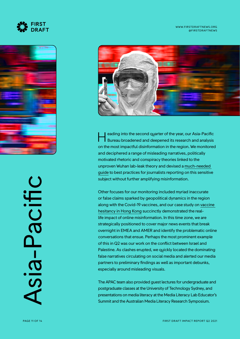



Asia-PacificSia-Pacific



eading into the second quarter of the year, our Asia-Pacific Bureau broadened and deepened its research and analysis on the most impactful disinformation in the region. We monitored and deciphered a range of misleading narratives, politically motivated rhetoric and conspiracy theories linked to the unproven Wuhan lab-leak theory and devised a [much-needed](https://firstdraftnews.org/articles/best-practices-for-reporting-on-the-wuhan-lab-leak-theory/)  [guide](https://firstdraftnews.org/articles/best-practices-for-reporting-on-the-wuhan-lab-leak-theory/) to best practices for journalists reporting on this sensitive subject without further amplifying misinformation.

Other focuses for our monitoring included myriad inaccurate or false claims sparked by geopolitical dynamics in the region along with the Covid-19 vaccines, and our case study on [vaccine](https://firstdraftnews.org/articles/hesitancy-behind-hong-kongs-low-vaccination-uptake-is-driven-by-political-tensions/)  [hesitancy in Hong Kong](https://firstdraftnews.org/articles/hesitancy-behind-hong-kongs-low-vaccination-uptake-is-driven-by-political-tensions/) succinctly demonstrated the reallife impact of online misinformation. In this time zone, we are strategically positioned to cover major news events that break overnight in EMEA and AMER and identify the problematic online conversations that ensue. Perhaps the most prominent example of this in Q2 was our work on the conflict between Israel and Palestine. As clashes erupted, we ouickly located the dominating false narratives circulating on social media and alerted our media partners to preliminary findings as well as important debunks, especially around misleading visuals. **Example 12** and the second quarter of the year, our Asia-Paci<br>
Bureau broadened and deepened its research and analy<br>
and deciphered a range of misleading narratives, politically<br>
motivated rhetoric and conspiracy theories

The APAC team also provided guest lectures for undergraduate and postgraduate classes at the University of Technology Sydney, and presentations on media literacy at the Media Literacy Lab Educator's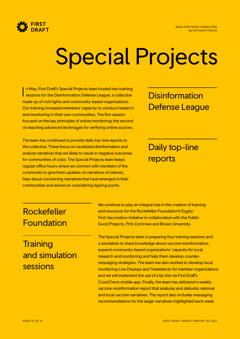

### Special Projects

n May, First Draft's Special Projects team hosted two training In May, First Draft's Special Projects team hosted two training<br>
sessions for the Disinformation Defense League, a collective Disinformation made up of civil rights and community-based organizations. Our training increased members' capacity to conduct research and monitoring in their own communities. The first session focused on the key principles of online monitoring; the second on teaching advanced techniques for verifying online sources.

The team has continued to provide daily top-line reports to the collective. These focus on racialized disinformation and analyze narratives that are likely to result in negative outcomes for communities of color. The Special Projects team keeps regular office hours where we connect with members of the community to give them updates on narratives of interest, hear about concerning narratives that have emerged in their communities and advise on considering tipping points.

### Defense League

#### Daily top-line reports

#### Rockefeller Foundation

#### **Training** and simulation sessions

We continue to play an integral role in the creation of training and resources for the Rockefeller Foundation's Equity-First Vaccination Initiative in collaboration with the Public Good Projects, Pink Cornrows and Brown University.

The Special Projects team is preparing four training sessions and a simulation to share knowledge about vaccine misinformation, expand community-based organizations' capacity for local research and monitoring and help them develop countermessaging strategies. The team has also worked to develop local monitoring Live Displays and Tweetdecks for member organizations and we will implement the use of a tip line via First Draft's CrossCheck mobile app. Finally, the team has delivered a weekly vaccine misinformation report that analyzes and debunks national and local vaccine narratives. The report also includes messaging recommendations for the larger narratives highlighted each week.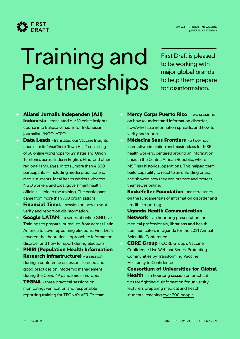



### Training and Partnerships

First Draft is pleased to be working with major global brands to help them prepare for disinformation.

- → **Aliansi Jurnalis Independen (AJI) Indonesia** - translated our Vaccine Insights course into Bahasa versions for Indonesian journalists/NGOs/CSOs.
- **Data Leads** translated our Vaccine Insights course for its "VaxCheck Town Hall," consisting of 30 online workshops for 29 states and Union Territories across India in English, Hindi and other regional languages. In total, more than 4,500 participants — including media practitioners, media students, local health workers, doctors, NGO workers and local government health officials — joined the training. The participants came from more than 700 organizations.
- **Financial Times** session on how to spot, verify and report on disinformation.
- → **Google LATAM**  a series of online [GNI Live](https://www.youtube.com/playlist?list=PLXYuDvosdAxzYAUBl8PZjgZrkirjatl9i)  [Trainings](https://www.youtube.com/playlist?list=PLXYuDvosdAxzYAUBl8PZjgZrkirjatl9i) to prepare journalists from across Latin America to cover upcoming elections. First Draft covered the theoretical approach to information disorder and how to report during elections.
- **PHIRI (Population Health Information Research Infrastructure)** - a session during a conference on lessons learned and good practices on infodemic management during the Covid-19 pandemic in Europe.
- **TEGNA** three practical sessions on monitoring, verification and responsible reporting training for TEGNA's VERIFY team.
- **Mercy Corps Puerto Rico** two sessions on how to understand information disorder, how/why false information spreads, and how to verify and report.
- **Médecins Sans Frontiers** a two-hour interactive simulation and masterclass for MSF health workers, centered around an information crisis in the Central African Republic, where MSF has historical operations. This helped them build capability to react to an unfolding crisis, and showed how they can prepare and protect themselves online.
- → **Rockefeller Foundation** masterclasses on the fundamentals of information disorder and credible reporting.
- → **Uganda Health Communication Network** - an hourlong presentation for medical professionals, librarians and health communicators in Uganda for the 2021 Annual Scientific Conference.
- → **CORE Group** CORE Group's Vaccine Confidence Live Webinar Series: Protecting Communities by Transforming Vaccine Hesitancy to Confidence
- → **Consortium of Universities for Global Health** - an hourlong session on practical tips for fighting disinformation for university lecturers preparing medical and health students, reaching [over 300 people.](https://www.youtube.com/watch?v=GYhDawNqnNk)